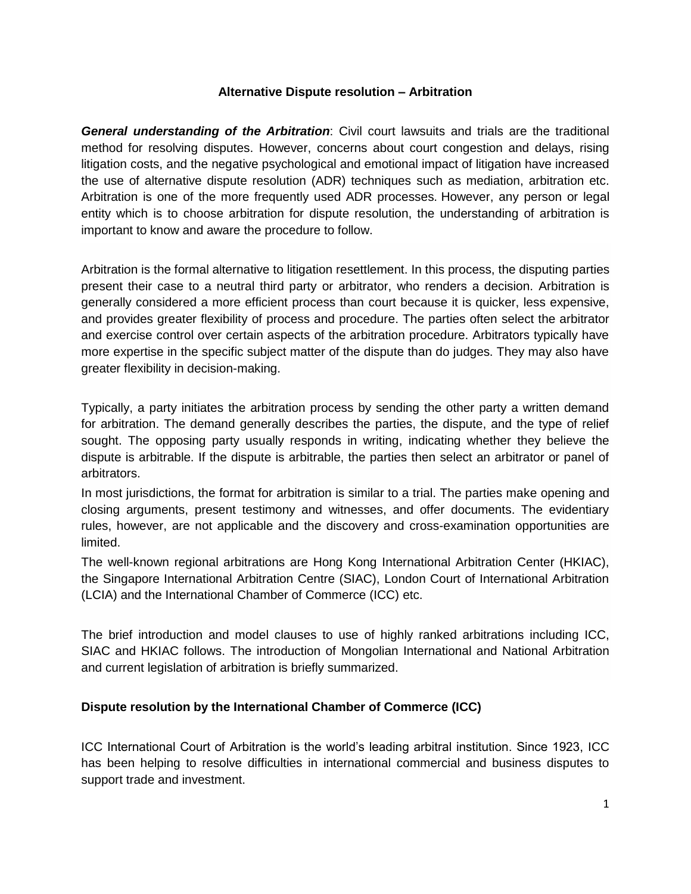### **Alternative Dispute resolution – Arbitration**

*General understanding of the Arbitration*: Civil court lawsuits and trials are the traditional method for resolving disputes. However, concerns about court congestion and delays, rising litigation costs, and the negative psychological and emotional impact of litigation have increased the use of alternative dispute resolution (ADR) techniques such as mediation, arbitration etc. Arbitration is one of the more frequently used ADR processes. However, any person or legal entity which is to choose arbitration for dispute resolution, the understanding of arbitration is important to know and aware the procedure to follow.

Arbitration is the formal alternative to litigation resettlement. In this process, the disputing parties present their case to a neutral third party or arbitrator, who renders a decision. Arbitration is generally considered a more efficient process than court because it is quicker, less expensive, and provides greater flexibility of process and procedure. The parties often select the arbitrator and exercise control over certain aspects of the arbitration procedure. Arbitrators typically have more expertise in the specific subject matter of the dispute than do judges. They may also have greater flexibility in decision-making.

Typically, a party initiates the arbitration process by sending the other party a written demand for arbitration. The demand generally describes the parties, the dispute, and the type of relief sought. The opposing party usually responds in writing, indicating whether they believe the dispute is arbitrable. If the dispute is arbitrable, the parties then select an arbitrator or panel of arbitrators.

In most jurisdictions, the format for arbitration is similar to a trial. The parties make opening and closing arguments, present testimony and witnesses, and offer documents. The evidentiary rules, however, are not applicable and the discovery and cross-examination opportunities are limited.

The well-known regional arbitrations are Hong Kong International Arbitration Center (HKIAC), the Singapore International Arbitration Centre (SIAC), London Court of International Arbitration (LCIA) and the International Chamber of Commerce (ICC) etc.

The brief introduction and model clauses to use of highly ranked arbitrations including ICC, SIAC and HKIAC follows. The introduction of Mongolian International and National Arbitration and current legislation of arbitration is briefly summarized.

## **Dispute resolution by the International Chamber of Commerce (ICC)**

ICC International Court of Arbitration is the world's leading arbitral institution. Since 1923, ICC has been helping to resolve difficulties in international commercial and business disputes to support trade and investment.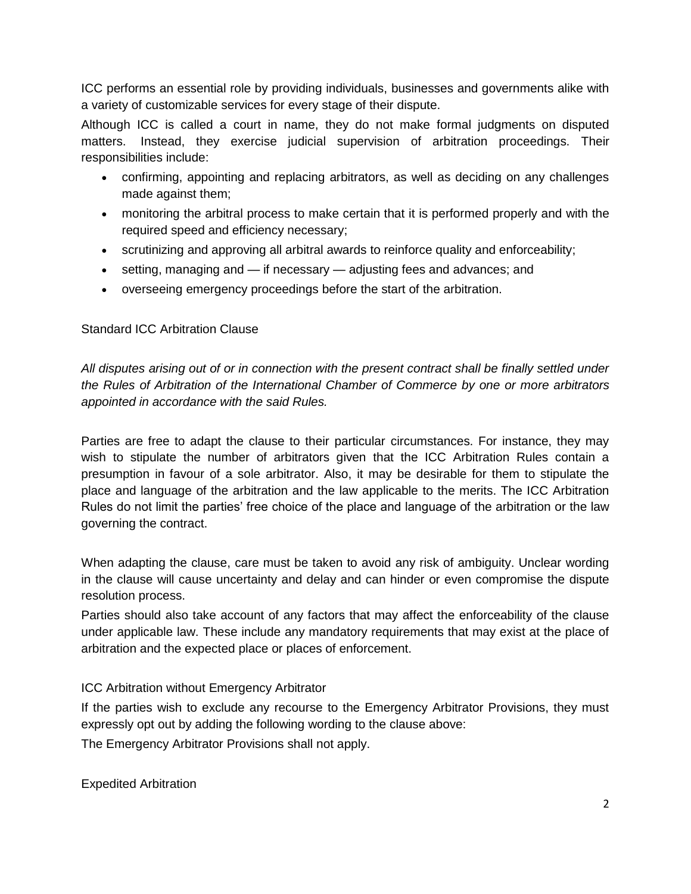ICC performs an essential role by providing individuals, businesses and governments alike with a variety of customizable services for every stage of their dispute.

Although ICC is called a court in name, they do not make formal judgments on disputed matters. Instead, they exercise judicial supervision of arbitration proceedings. Their responsibilities include:

- confirming, appointing and replacing arbitrators, as well as deciding on any challenges made against them;
- monitoring the arbitral process to make certain that it is performed properly and with the required speed and efficiency necessary;
- scrutinizing and approving all arbitral awards to reinforce quality and enforceability;
- $\bullet$  setting, managing and if necessary adjusting fees and advances; and
- overseeing emergency proceedings before the start of the arbitration.

# Standard ICC Arbitration Clause

*All disputes arising out of or in connection with the present contract shall be finally settled under the Rules of Arbitration of the International Chamber of Commerce by one or more arbitrators appointed in accordance with the said Rules.*

Parties are free to adapt the clause to their particular circumstances. For instance, they may wish to stipulate the number of arbitrators given that the ICC Arbitration Rules contain a presumption in favour of a sole arbitrator. Also, it may be desirable for them to stipulate the place and language of the arbitration and the law applicable to the merits. The ICC Arbitration Rules do not limit the parties' free choice of the place and language of the arbitration or the law governing the contract.

When adapting the clause, care must be taken to avoid any risk of ambiguity. Unclear wording in the clause will cause uncertainty and delay and can hinder or even compromise the dispute resolution process.

Parties should also take account of any factors that may affect the enforceability of the clause under applicable law. These include any mandatory requirements that may exist at the place of arbitration and the expected place or places of enforcement.

# ICC Arbitration without Emergency Arbitrator

If the parties wish to exclude any recourse to the Emergency Arbitrator Provisions, they must expressly opt out by adding the following wording to the clause above:

The Emergency Arbitrator Provisions shall not apply.

Expedited Arbitration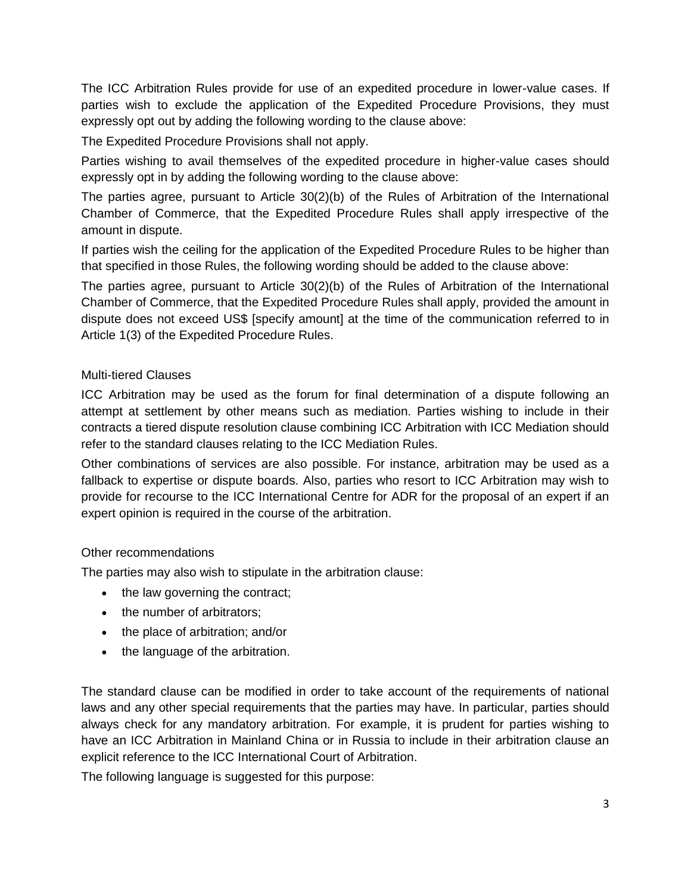The ICC Arbitration Rules provide for use of an expedited procedure in lower-value cases. If parties wish to exclude the application of the Expedited Procedure Provisions, they must expressly opt out by adding the following wording to the clause above:

The Expedited Procedure Provisions shall not apply.

Parties wishing to avail themselves of the expedited procedure in higher-value cases should expressly opt in by adding the following wording to the clause above:

The parties agree, pursuant to Article 30(2)(b) of the Rules of Arbitration of the International Chamber of Commerce, that the Expedited Procedure Rules shall apply irrespective of the amount in dispute.

If parties wish the ceiling for the application of the Expedited Procedure Rules to be higher than that specified in those Rules, the following wording should be added to the clause above:

The parties agree, pursuant to Article 30(2)(b) of the Rules of Arbitration of the International Chamber of Commerce, that the Expedited Procedure Rules shall apply, provided the amount in dispute does not exceed US\$ [specify amount] at the time of the communication referred to in Article 1(3) of the Expedited Procedure Rules.

## Multi-tiered Clauses

ICC Arbitration may be used as the forum for final determination of a dispute following an attempt at settlement by other means such as mediation. Parties wishing to include in their contracts a tiered dispute resolution clause combining ICC Arbitration with ICC Mediation should refer to the standard clauses relating to the ICC Mediation Rules.

Other combinations of services are also possible. For instance, arbitration may be used as a fallback to expertise or dispute boards. Also, parties who resort to ICC Arbitration may wish to provide for recourse to the ICC International Centre for ADR for the proposal of an expert if an expert opinion is required in the course of the arbitration.

## Other recommendations

The parties may also wish to stipulate in the arbitration clause:

- $\bullet$  the law governing the contract;
- the number of arbitrators;
- the place of arbitration; and/or
- the language of the arbitration.

The standard clause can be modified in order to take account of the requirements of national laws and any other special requirements that the parties may have. In particular, parties should always check for any mandatory arbitration. For example, it is prudent for parties wishing to have an ICC Arbitration in Mainland China or in Russia to include in their arbitration clause an explicit reference to the ICC International Court of Arbitration.

The following language is suggested for this purpose: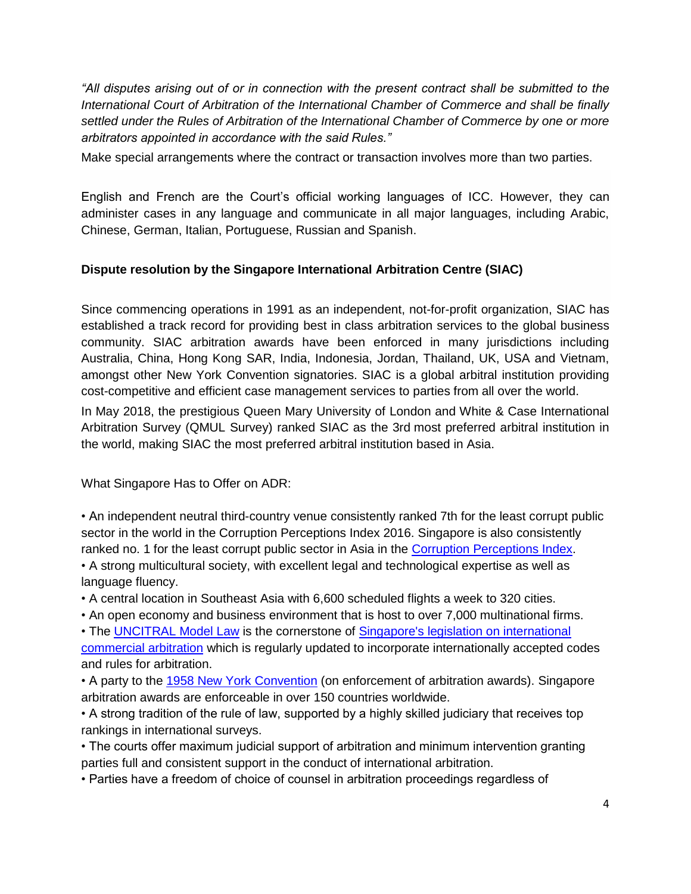"All disputes arising out of or in connection with the present contract shall be submitted to the *International Court of Arbitration of the International Chamber of Commerce and shall be finally settled under the Rules of Arbitration of the International Chamber of Commerce by one or more arbitrators appointed in accordance with the said Rules."*

Make special arrangements where the contract or transaction involves more than two parties.

English and French are the Court's official working languages of ICC. However, they can administer cases in any language and communicate in all major languages, including Arabic, Chinese, German, Italian, Portuguese, Russian and Spanish.

# **Dispute resolution by the Singapore International Arbitration Centre (SIAC)**

Since commencing operations in 1991 as an independent, not-for-profit organization, SIAC has established a track record for providing best in class arbitration services to the global business community. SIAC arbitration awards have been enforced in many jurisdictions including Australia, China, Hong Kong SAR, India, Indonesia, Jordan, Thailand, UK, USA and Vietnam, amongst other New York Convention signatories. SIAC is a global arbitral institution providing cost-competitive and efficient case management services to parties from all over the world.

In May 2018, the prestigious Queen Mary University of London and White & Case International Arbitration Survey (QMUL Survey) ranked SIAC as the 3rd most preferred arbitral institution in the world, making SIAC the most preferred arbitral institution based in Asia.

What Singapore Has to Offer on ADR:

• An independent neutral third-country venue consistently ranked 7th for the least corrupt public sector in the world in the Corruption Perceptions Index 2016. Singapore is also consistently ranked no. 1 for the least corrupt public sector in Asia in the [Corruption Perceptions Index.](http://www.transparency.org/news/feature/corruption_perceptions_index_2016) • A strong multicultural society, with excellent legal and technological expertise as well as language fluency.

• A central location in Southeast Asia with 6,600 scheduled flights a week to 320 cities.

• An open economy and business environment that is host to over 7,000 multinational firms.

• The [UNCITRAL Model Law](http://www.uncitral.org/pdf/english/texts/arbitration/ml-arb/07-86998_Ebook.pdf) is the cornerstone of [Singapore's legislation on international](http://siac.org.sg/images/stories/articles/rules/Singapore_IAA_with_2012_Amendments.pdf)  [commercial arbitration](http://siac.org.sg/images/stories/articles/rules/Singapore_IAA_with_2012_Amendments.pdf) which is regularly updated to incorporate internationally accepted codes and rules for arbitration.

• A party to the [1958 New York Convention](http://www.uncitral.org/uncitral/en/uncitral_texts/arbitration/NYConvention.html) (on enforcement of arbitration awards). Singapore arbitration awards are enforceable in over 150 countries worldwide.

• A strong tradition of the rule of law, supported by a highly skilled judiciary that receives top rankings in international surveys.

• The courts offer maximum judicial support of arbitration and minimum intervention granting parties full and consistent support in the conduct of international arbitration.

• Parties have a freedom of choice of counsel in arbitration proceedings regardless of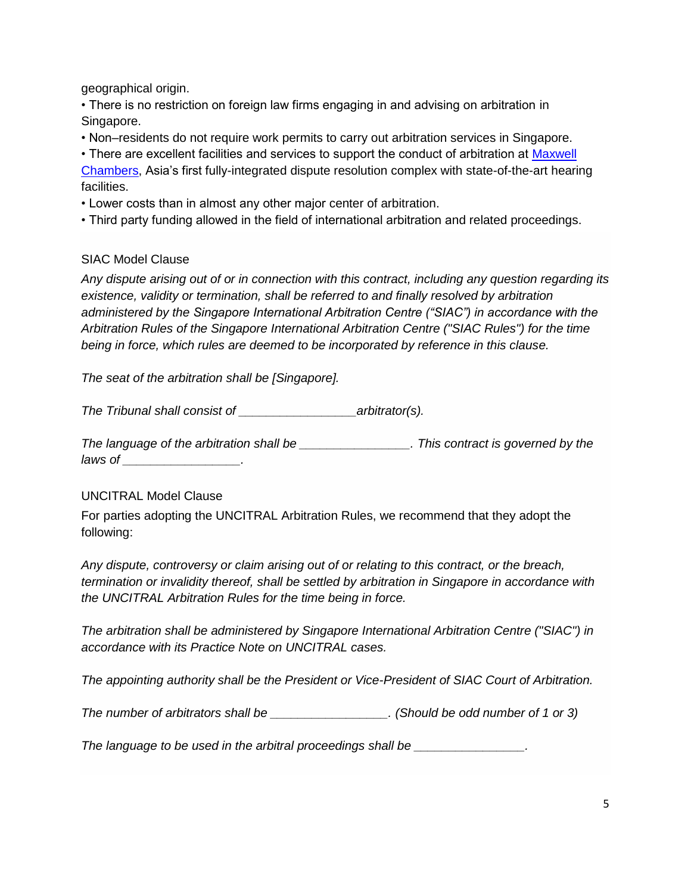geographical origin.

• There is no restriction on foreign law firms engaging in and advising on arbitration in Singapore.

• Non–residents do not require work permits to carry out arbitration services in Singapore.

• There are excellent facilities and services to support the conduct of arbitration at Maxwell [Chambers,](http://www.maxwell-chambers.com/) Asia's first fully-integrated dispute resolution complex with state-of-the-art hearing facilities.

• Lower costs than in almost any other major center of arbitration.

• Third party funding allowed in the field of international arbitration and related proceedings.

## SIAC Model Clause

*Any dispute arising out of or in connection with this contract, including any question regarding its existence, validity or termination, shall be referred to and finally resolved by arbitration administered by the Singapore International Arbitration Centre ("SIAC") in accordance with the Arbitration Rules of the Singapore International Arbitration Centre ("SIAC Rules") for the time being in force, which rules are deemed to be incorporated by reference in this clause.*

*The seat of the arbitration shall be [Singapore].*

*The Tribunal shall consist of \_\_\_\_\_\_\_\_\_\_\_\_\_\_\_\_\_arbitrator(s).*

*The language of the arbitration shall be \_\_\_\_\_\_\_\_\_\_\_\_\_\_\_\_. This contract is governed by the laws of \_\_\_\_\_\_\_\_\_\_\_\_\_\_\_\_\_.*

## UNCITRAL Model Clause

For parties adopting the UNCITRAL Arbitration Rules, we recommend that they adopt the following:

*Any dispute, controversy or claim arising out of or relating to this contract, or the breach, termination or invalidity thereof, shall be settled by arbitration in Singapore in accordance with the UNCITRAL Arbitration Rules for the time being in force.*

*The arbitration shall be administered by Singapore International Arbitration Centre ("SIAC") in accordance with its Practice Note on UNCITRAL cases.*

*The appointing authority shall be the President or Vice-President of SIAC Court of Arbitration.*

*The number of arbitrators shall be \_\_\_\_\_\_\_\_\_\_\_\_\_\_\_\_\_. (Should be odd number of 1 or 3)*

*The language to be used in the arbitral proceedings shall be*  $\qquad \qquad$ *.*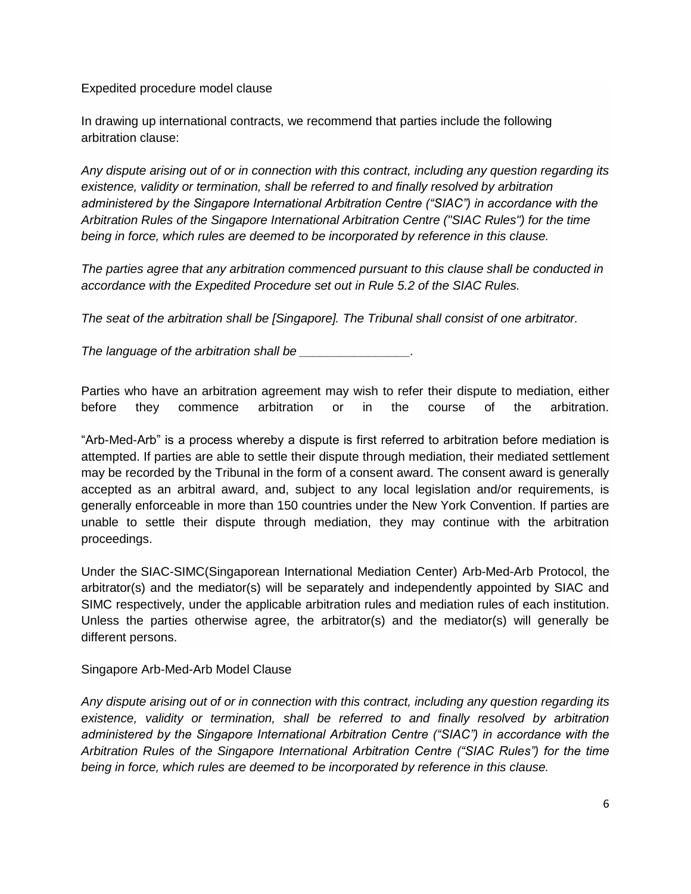Expedited procedure model clause

In drawing up international contracts, we recommend that parties include the following arbitration clause:

*Any dispute arising out of or in connection with this contract, including any question regarding its existence, validity or termination, shall be referred to and finally resolved by arbitration administered by the Singapore International Arbitration Centre ("SIAC") in accordance with the Arbitration Rules of the Singapore International Arbitration Centre ("SIAC Rules") for the time being in force, which rules are deemed to be incorporated by reference in this clause.*

*The parties agree that any arbitration commenced pursuant to this clause shall be conducted in accordance with the Expedited Procedure set out in Rule 5.2 of the SIAC Rules.*

*The seat of the arbitration shall be [Singapore]. The Tribunal shall consist of one arbitrator.*

*The language of the arbitration shall be \_\_\_\_\_\_\_\_\_\_\_\_\_\_\_\_.*

Parties who have an arbitration agreement may wish to refer their dispute to mediation, either before they commence arbitration or in the course of the arbitration.

"Arb-Med-Arb" is a process whereby a dispute is first referred to arbitration before mediation is attempted. If parties are able to settle their dispute through mediation, their mediated settlement may be recorded by the Tribunal in the form of a consent award. The consent award is generally accepted as an arbitral award, and, subject to any local legislation and/or requirements, is generally enforceable in more than 150 countries under the New York Convention. If parties are unable to settle their dispute through mediation, they may continue with the arbitration proceedings.

Under the [SIAC-SIMC\(Singaporean International Mediation Center\)](http://www.siac.org.sg/model-clauses/the-singapore-arb-med-arb-clause) Arb-Med-Arb Protocol, the arbitrator(s) and the mediator(s) will be separately and independently appointed by SIAC and SIMC respectively, under the applicable arbitration rules and mediation rules of each institution. Unless the parties otherwise agree, the arbitrator(s) and the mediator(s) will generally be different persons.

#### Singapore Arb-Med-Arb Model Clause

*Any dispute arising out of or in connection with this contract, including any question regarding its existence, validity or termination, shall be referred to and finally resolved by arbitration administered by the Singapore International Arbitration Centre ("SIAC") in accordance with the Arbitration Rules of the Singapore International Arbitration Centre ("SIAC Rules") for the time being in force, which rules are deemed to be incorporated by reference in this clause.*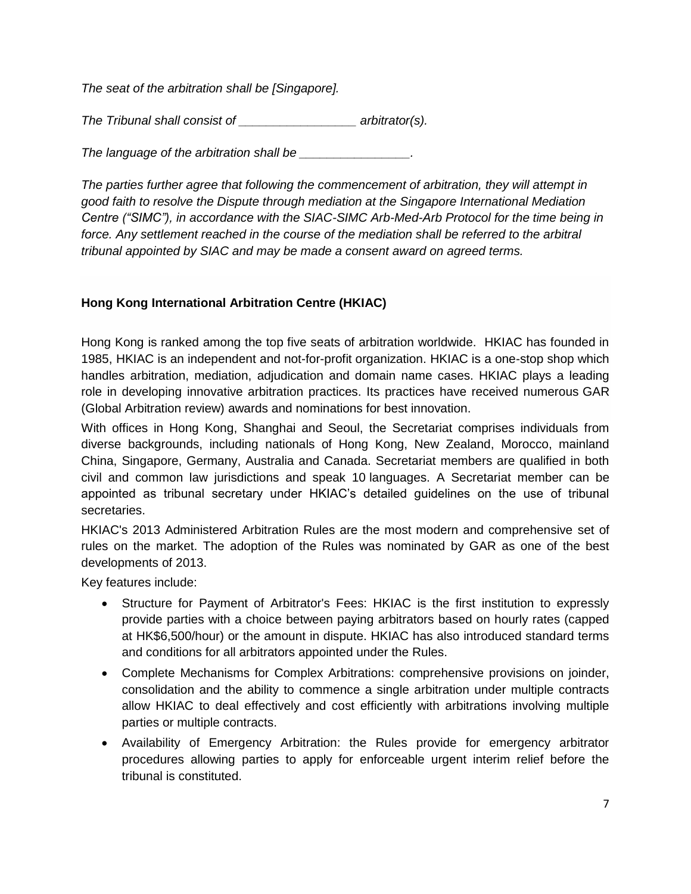*The seat of the arbitration shall be [Singapore].*

*The Tribunal shall consist of \_\_\_\_\_\_\_\_\_\_\_\_\_\_\_\_\_ arbitrator(s).*

*The language of the arbitration shall be \_\_\_\_\_\_\_\_\_\_\_\_\_\_\_\_.*

*The parties further agree that following the commencement of arbitration, they will attempt in good faith to resolve the Dispute through mediation at the Singapore International Mediation Centre ("SIMC"), in accordance with the SIAC-SIMC Arb-Med-Arb Protocol for the time being in*  force. Any settlement reached in the course of the mediation shall be referred to the arbitral *tribunal appointed by SIAC and may be made a consent award on agreed terms.*

# **Hong Kong International Arbitration Centre (HKIAC)**

Hong Kong is ranked among the top five seats of arbitration worldwide. HKIAC has founded in 1985, HKIAC is an independent and not-for-profit organization. HKIAC is a one-stop shop which handles arbitration, mediation, adjudication and domain name cases. HKIAC plays a leading role in developing innovative arbitration practices. Its practices have received numerous GAR (Global Arbitration review) awards and nominations for best innovation.

With offices in Hong Kong, Shanghai and Seoul, the Secretariat comprises individuals from diverse backgrounds, including nationals of Hong Kong, New Zealand, Morocco, mainland China, Singapore, Germany, Australia and Canada. Secretariat members are qualified in both civil and common law jurisdictions and speak 10 languages. A Secretariat member can be appointed as tribunal secretary under HKIAC's detailed guidelines on the use of tribunal secretaries.

HKIAC's 2013 Administered Arbitration Rules are the most modern and comprehensive set of rules on the market. The adoption of the Rules was nominated by GAR as one of the best developments of 2013.

Key features include:

- Structure for Payment of Arbitrator's Fees: HKIAC is the first institution to expressly provide parties with a choice between paying arbitrators based on hourly rates (capped at HK\$6,500/hour) or the amount in dispute. HKIAC has also introduced standard terms and conditions for all arbitrators appointed under the Rules.
- Complete Mechanisms for Complex Arbitrations: comprehensive provisions on joinder, consolidation and the ability to commence a single arbitration under multiple contracts allow HKIAC to deal effectively and cost efficiently with arbitrations involving multiple parties or multiple contracts.
- Availability of Emergency Arbitration: the Rules provide for emergency arbitrator procedures allowing parties to apply for enforceable urgent interim relief before the tribunal is constituted.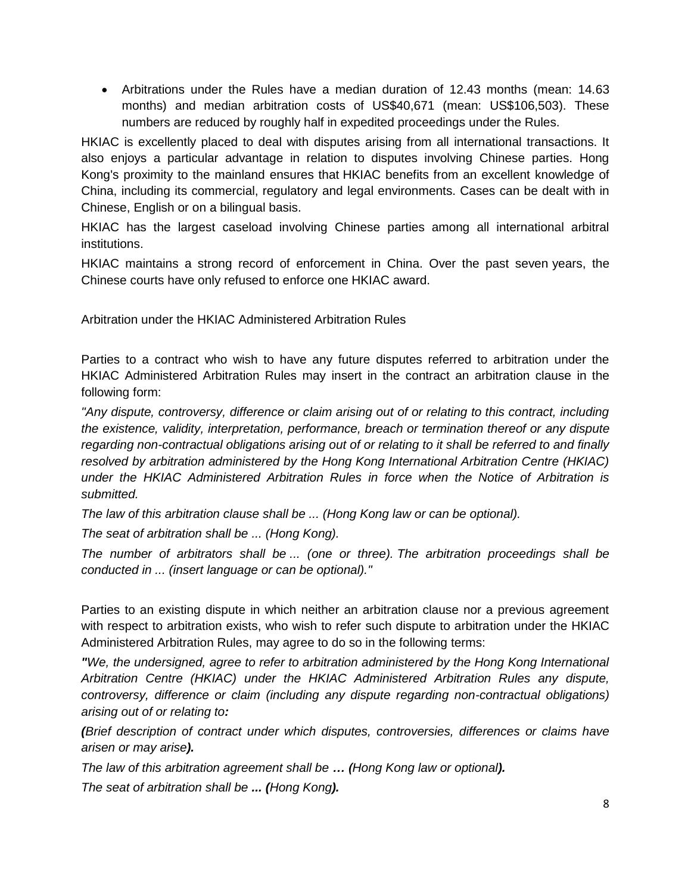Arbitrations under the Rules have a median duration of 12.43 months (mean: 14.63 months) and median arbitration costs of US\$40,671 (mean: US\$106,503). These numbers are reduced by roughly half in expedited proceedings under the Rules.

HKIAC is excellently placed to deal with disputes arising from all international transactions. It also enjoys a particular advantage in relation to disputes involving Chinese parties. Hong Kong's proximity to the mainland ensures that HKIAC benefits from an excellent knowledge of China, including its commercial, regulatory and legal environments. Cases can be dealt with in Chinese, English or on a bilingual basis.

HKIAC has the largest caseload involving Chinese parties among all international arbitral institutions.

HKIAC maintains a strong record of enforcement in China. Over the past seven years, the Chinese courts have only refused to enforce one HKIAC award.

Arbitration under the HKIAC Administered Arbitration Rules

Parties to a contract who wish to have any future disputes referred to arbitration under the HKIAC Administered Arbitration Rules may insert in the contract an arbitration clause in the following form:

*"Any dispute, controversy, difference or claim arising out of or relating to this contract, including the existence, validity, interpretation, performance, breach or termination thereof or any dispute regarding non-contractual obligations arising out of or relating to it shall be referred to and finally resolved by arbitration administered by the Hong Kong International Arbitration Centre (HKIAC) under the HKIAC Administered Arbitration Rules in force when the Notice of Arbitration is submitted.*

*The law of this arbitration clause shall be ... (Hong Kong law or can be optional).*

*The seat of arbitration shall be ... (Hong Kong).*

*The number of arbitrators shall be ... (one or three). The arbitration proceedings shall be conducted in ... (insert language or can be optional)."*

Parties to an existing dispute in which neither an arbitration clause nor a previous agreement with respect to arbitration exists, who wish to refer such dispute to arbitration under the HKIAC Administered Arbitration Rules, may agree to do so in the following terms:

*"We, the undersigned, agree to refer to arbitration administered by the Hong Kong International Arbitration Centre (HKIAC) under the HKIAC Administered Arbitration Rules any dispute, controversy, difference or claim (including any dispute regarding non-contractual obligations) arising out of or relating to:*

*(Brief description of contract under which disputes, controversies, differences or claims have arisen or may arise).*

*The law of this arbitration agreement shall be … (Hong Kong law or optional). The seat of arbitration shall be ... (Hong Kong).*

8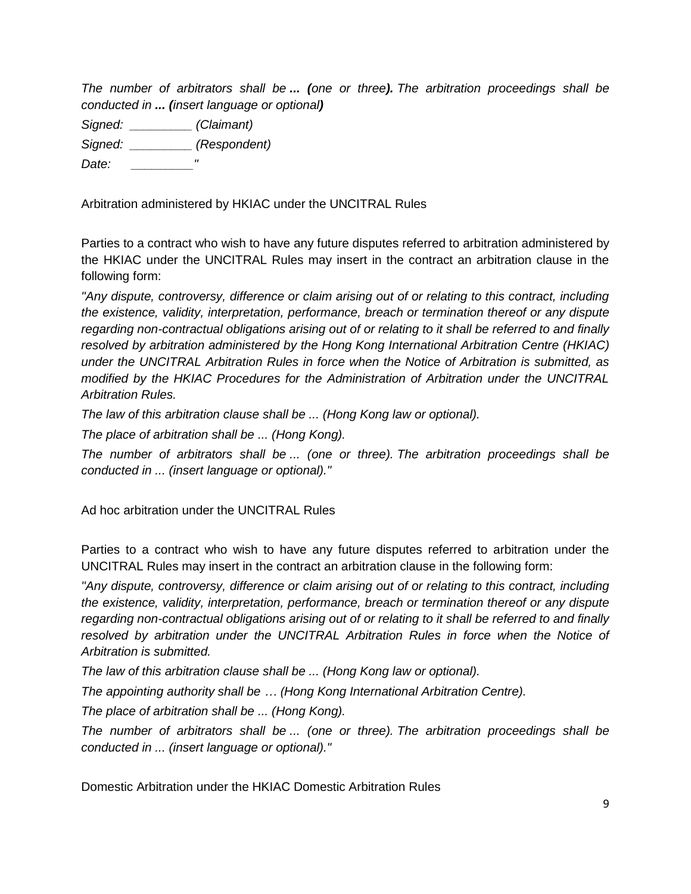*The number of arbitrators shall be ... (one or three). The arbitration proceedings shall be conducted in ... (insert language or optional)*

*Signed: \_\_\_\_\_\_\_\_\_ (Claimant)*

*Signed: \_\_\_\_\_\_\_\_\_ (Respondent)*

*Date: \_\_\_\_\_\_\_\_\_"*

Arbitration administered by HKIAC under the UNCITRAL Rules

Parties to a contract who wish to have any future disputes referred to arbitration administered by the HKIAC under the UNCITRAL Rules may insert in the contract an arbitration clause in the following form:

*"Any dispute, controversy, difference or claim arising out of or relating to this contract, including the existence, validity, interpretation, performance, breach or termination thereof or any dispute regarding non-contractual obligations arising out of or relating to it shall be referred to and finally resolved by arbitration administered by the Hong Kong International Arbitration Centre (HKIAC) under the UNCITRAL Arbitration Rules in force when the Notice of Arbitration is submitted, as modified by the HKIAC Procedures for the Administration of Arbitration under the UNCITRAL Arbitration Rules.*

*The law of this arbitration clause shall be ... (Hong Kong law or optional).*

*The place of arbitration shall be ... (Hong Kong).*

*The number of arbitrators shall be ... (one or three). The arbitration proceedings shall be conducted in ... (insert language or optional)."*

Ad hoc arbitration under the UNCITRAL Rules

Parties to a contract who wish to have any future disputes referred to arbitration under the UNCITRAL Rules may insert in the contract an arbitration clause in the following form:

*"Any dispute, controversy, difference or claim arising out of or relating to this contract, including the existence, validity, interpretation, performance, breach or termination thereof or any dispute regarding non-contractual obligations arising out of or relating to it shall be referred to and finally*  resolved by arbitration under the UNCITRAL Arbitration Rules in force when the Notice of *Arbitration is submitted.*

*The law of this arbitration clause shall be ... (Hong Kong law or optional).*

*The appointing authority shall be … (Hong Kong International Arbitration Centre).*

*The place of arbitration shall be ... (Hong Kong).*

*The number of arbitrators shall be ... (one or three). The arbitration proceedings shall be conducted in ... (insert language or optional)."* 

Domestic Arbitration under the HKIAC Domestic Arbitration Rules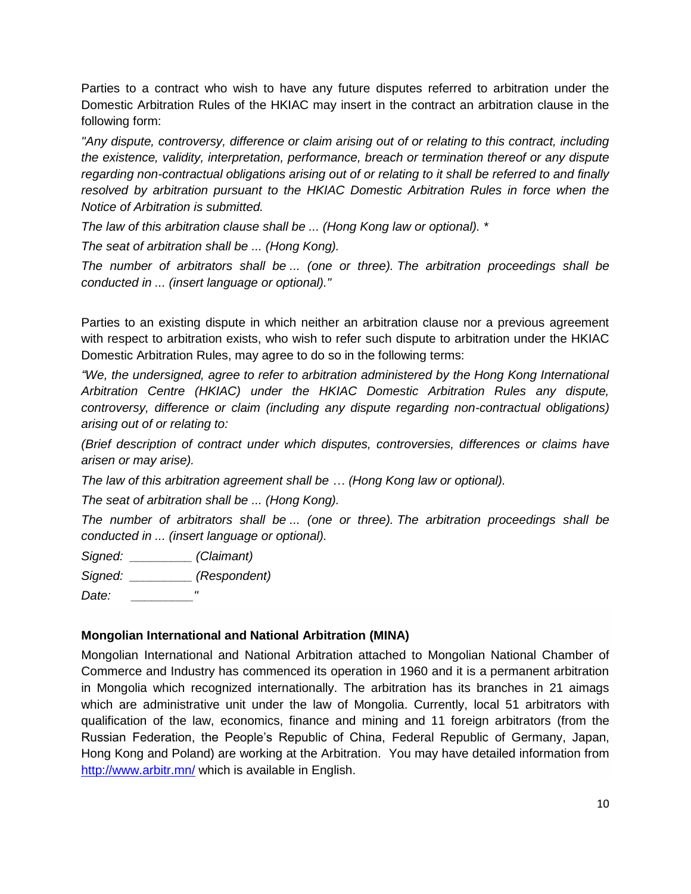Parties to a contract who wish to have any future disputes referred to arbitration under the Domestic Arbitration Rules of the HKIAC may insert in the contract an arbitration clause in the following form:

*"Any dispute, controversy, difference or claim arising out of or relating to this contract, including the existence, validity, interpretation, performance, breach or termination thereof or any dispute regarding non-contractual obligations arising out of or relating to it shall be referred to and finally resolved by arbitration pursuant to the HKIAC Domestic Arbitration Rules in force when the Notice of Arbitration is submitted.*

*The law of this arbitration clause shall be ... (Hong Kong law or optional). \**

*The seat of arbitration shall be ... (Hong Kong).*

*The number of arbitrators shall be ... (one or three). The arbitration proceedings shall be conducted in ... (insert language or optional)."* 

Parties to an existing dispute in which neither an arbitration clause nor a previous agreement with respect to arbitration exists, who wish to refer such dispute to arbitration under the HKIAC Domestic Arbitration Rules, may agree to do so in the following terms:

*"We, the undersigned, agree to refer to arbitration administered by the Hong Kong International Arbitration Centre (HKIAC) under the HKIAC Domestic Arbitration Rules any dispute, controversy, difference or claim (including any dispute regarding non-contractual obligations) arising out of or relating to:*

*(Brief description of contract under which disputes, controversies, differences or claims have arisen or may arise).*

*The law of this arbitration agreement shall be … (Hong Kong law or optional).*

*The seat of arbitration shall be ... (Hong Kong).*

*The number of arbitrators shall be ... (one or three). The arbitration proceedings shall be conducted in ... (insert language or optional).* 

*Signed: \_\_\_\_\_\_\_\_\_ (Claimant)*

*Signed: \_\_\_\_\_\_\_\_\_ (Respondent)*

*Date: \_\_\_\_\_\_\_\_\_"*

# **Mongolian International and National Arbitration (MINA)**

Mongolian International and National Arbitration attached to Mongolian National Chamber of Commerce and Industry has commenced its operation in 1960 and it is a permanent arbitration in Mongolia which recognized internationally. The arbitration has its branches in 21 aimags which are administrative unit under the law of Mongolia. Currently, local 51 arbitrators with qualification of the law, economics, finance and mining and 11 foreign arbitrators (from the Russian Federation, the People's Republic of China, Federal Republic of Germany, Japan, Hong Kong and Poland) are working at the Arbitration. You may have detailed information from <http://www.arbitr.mn/> which is available in English.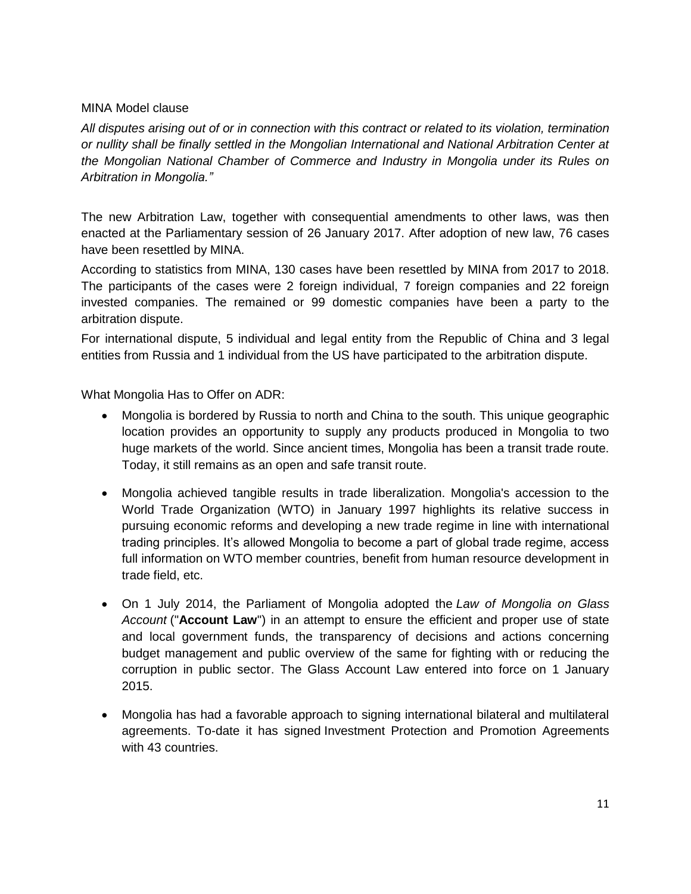## MINA Model clause

*All disputes arising out of or in connection with this contract or related to its violation, termination or nullity shall be finally settled in the Mongolian International and National Arbitration Center at the Mongolian National Chamber of Commerce and Industry in Mongolia under its Rules on Arbitration in Mongolia."*

The new Arbitration Law, together with consequential amendments to other laws, was then enacted at the Parliamentary session of 26 January 2017. After adoption of new law, 76 cases have been resettled by MINA.

According to statistics from MINA, 130 cases have been resettled by MINA from 2017 to 2018. The participants of the cases were 2 foreign individual, 7 foreign companies and 22 foreign invested companies. The remained or 99 domestic companies have been a party to the arbitration dispute.

For international dispute, 5 individual and legal entity from the Republic of China and 3 legal entities from Russia and 1 individual from the US have participated to the arbitration dispute.

What Mongolia Has to Offer on ADR:

- Mongolia is bordered by Russia to north and China to the south. This unique geographic location provides an opportunity to supply any products produced in Mongolia to two huge markets of the world. Since ancient times, Mongolia has been a transit trade route. Today, it still remains as an open and safe transit route.
- Mongolia achieved tangible results in trade liberalization. Mongolia's accession to the World Trade Organization (WTO) in January 1997 highlights its relative success in pursuing economic reforms and developing a new trade regime in line with international trading principles. It's allowed Mongolia to become a part of global trade regime, access full information on WTO member countries, benefit from human resource development in trade field, etc.
- On 1 July 2014, the Parliament of Mongolia adopted the *Law of Mongolia on Glass Account* ("**Account Law**") in an attempt to ensure the efficient and proper use of state and local government funds, the transparency of decisions and actions concerning budget management and public overview of the same for fighting with or reducing the corruption in public sector. The Glass Account Law entered into force on 1 January 2015.
- Mongolia has had a favorable approach to signing international bilateral and multilateral agreements. To-date it has signed [Investment Protection and Promotion Agreements](http://investmentpolicyhub.unctad.org/IIA/CountryBits/139#iiaInnerMenu)  [with 43 countries.](http://investmentpolicyhub.unctad.org/IIA/CountryBits/139#iiaInnerMenu)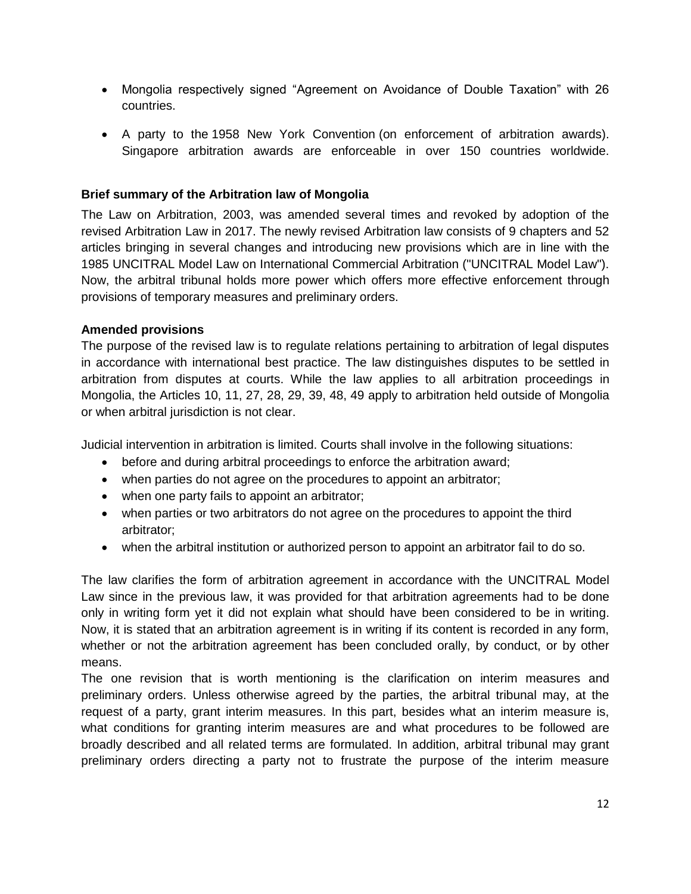- Mongolia respectively signed "Agreement on Avoidance of Double Taxation" with 26 countries.
- A party to the [1958 New York Convention](http://www.uncitral.org/uncitral/en/uncitral_texts/arbitration/NYConvention.html) (on enforcement of arbitration awards). Singapore arbitration awards are enforceable in over 150 countries worldwide.

## **Brief summary of the Arbitration law of Mongolia**

The Law on Arbitration, 2003, was amended several times and revoked by adoption of the revised Arbitration Law in 2017. The newly revised Arbitration law consists of 9 chapters and 52 articles bringing in several changes and introducing new provisions which are in line with the 1985 UNCITRAL Model Law on International Commercial Arbitration ("UNCITRAL Model Law"). Now, the arbitral tribunal holds more power which offers more effective enforcement through provisions of temporary measures and preliminary orders.

## **Amended provisions**

The purpose of the revised law is to regulate relations pertaining to arbitration of legal disputes in accordance with international best practice. The law distinguishes disputes to be settled in arbitration from disputes at courts. While the law applies to all arbitration proceedings in Mongolia, the Articles 10, 11, 27, 28, 29, 39, 48, 49 apply to arbitration held outside of Mongolia or when arbitral jurisdiction is not clear.

Judicial intervention in arbitration is limited. Courts shall involve in the following situations:

- before and during arbitral proceedings to enforce the arbitration award;
- when parties do not agree on the procedures to appoint an arbitrator;
- when one party fails to appoint an arbitrator;
- when parties or two arbitrators do not agree on the procedures to appoint the third arbitrator;
- when the arbitral institution or authorized person to appoint an arbitrator fail to do so.

The law clarifies the form of arbitration agreement in accordance with the UNCITRAL Model Law since in the previous law, it was provided for that arbitration agreements had to be done only in writing form yet it did not explain what should have been considered to be in writing. Now, it is stated that an arbitration agreement is in writing if its content is recorded in any form, whether or not the arbitration agreement has been concluded orally, by conduct, or by other means.

The one revision that is worth mentioning is the clarification on interim measures and preliminary orders. Unless otherwise agreed by the parties, the arbitral tribunal may, at the request of a party, grant interim measures. In this part, besides what an interim measure is, what conditions for granting interim measures are and what procedures to be followed are broadly described and all related terms are formulated. In addition, arbitral tribunal may grant preliminary orders directing a party not to frustrate the purpose of the interim measure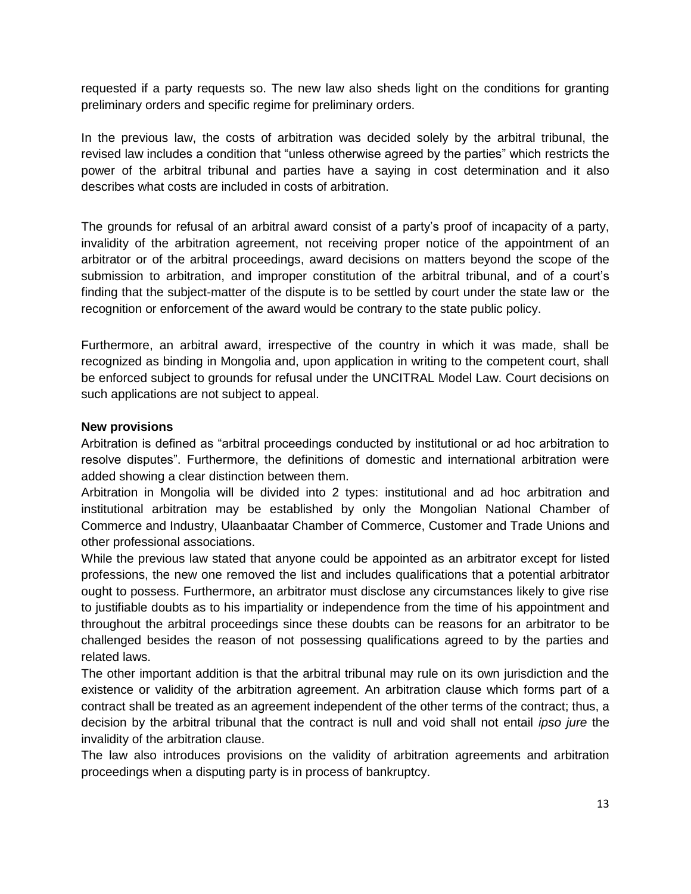requested if a party requests so. The new law also sheds light on the conditions for granting preliminary orders and specific regime for preliminary orders.

In the previous law, the costs of arbitration was decided solely by the arbitral tribunal, the revised law includes a condition that "unless otherwise agreed by the parties" which restricts the power of the arbitral tribunal and parties have a saying in cost determination and it also describes what costs are included in costs of arbitration.

The grounds for refusal of an arbitral award consist of a party's proof of incapacity of a party, invalidity of the arbitration agreement, not receiving proper notice of the appointment of an arbitrator or of the arbitral proceedings, award decisions on matters beyond the scope of the submission to arbitration, and improper constitution of the arbitral tribunal, and of a court's finding that the subject-matter of the dispute is to be settled by court under the state law or the recognition or enforcement of the award would be contrary to the state public policy.

Furthermore, an arbitral award, irrespective of the country in which it was made, shall be recognized as binding in Mongolia and, upon application in writing to the competent court, shall be enforced subject to grounds for refusal under the UNCITRAL Model Law. Court decisions on such applications are not subject to appeal.

### **New provisions**

Arbitration is defined as "arbitral proceedings conducted by institutional or ad hoc arbitration to resolve disputes". Furthermore, the definitions of domestic and international arbitration were added showing a clear distinction between them.

Arbitration in Mongolia will be divided into 2 types: institutional and ad hoc arbitration and institutional arbitration may be established by only the Mongolian National Chamber of Commerce and Industry, Ulaanbaatar Chamber of Commerce, Customer and Trade Unions and other professional associations.

While the previous law stated that anyone could be appointed as an arbitrator except for listed professions, the new one removed the list and includes qualifications that a potential arbitrator ought to possess. Furthermore, an arbitrator must disclose any circumstances likely to give rise to justifiable doubts as to his impartiality or independence from the time of his appointment and throughout the arbitral proceedings since these doubts can be reasons for an arbitrator to be challenged besides the reason of not possessing qualifications agreed to by the parties and related laws.

The other important addition is that the arbitral tribunal may rule on its own jurisdiction and the existence or validity of the arbitration agreement. An arbitration clause which forms part of a contract shall be treated as an agreement independent of the other terms of the contract; thus, a decision by the arbitral tribunal that the contract is null and void shall not entail *ipso jure* the invalidity of the arbitration clause.

The law also introduces provisions on the validity of arbitration agreements and arbitration proceedings when a disputing party is in process of bankruptcy.